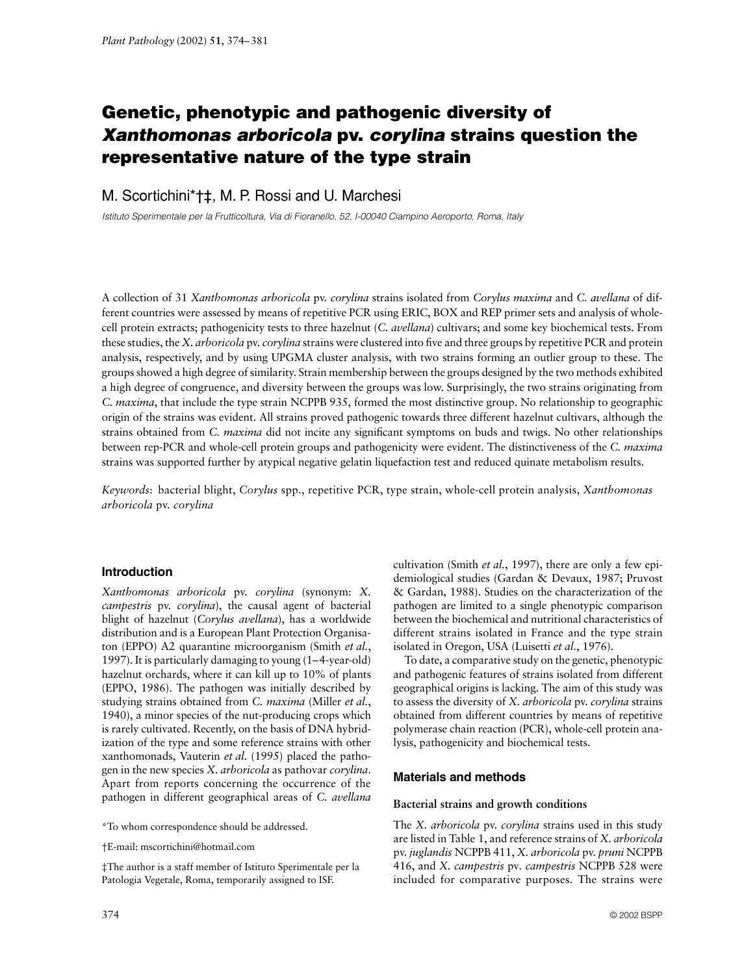# Genetic, phenotypic and pathogenic diversity of *Xanthomonas arboricola* **pv.** *corylina* **strains question the representative nature of the type strain**

# M. Scortichini\*†‡, M. P. Rossi and U. Marchesi

*Istituto Sperimentale per la Frutticoltura, Via di Fioranello, 52, I-00040 Ciampino Aeroporto, Roma, Italy*

A collection of 31 *Xanthomonas arboricola* pv. *corylina* strains isolated from *Corylus maxima* and *C. avellana* of different countries were assessed by means of repetitive PCR using ERIC, BOX and REP primer sets and analysis of wholecell protein extracts; pathogenicity tests to three hazelnut (*C. avellana*) cultivars; and some key biochemical tests. From these studies, the *X. arboricola* pv. *corylina* strains were clustered into five and three groups by repetitive PCR and protein analysis, respectively, and by using UPGMA cluster analysis, with two strains forming an outlier group to these. The groups showed a high degree of similarity. Strain membership between the groups designed by the two methods exhibited a high degree of congruence, and diversity between the groups was low. Surprisingly, the two strains originating from *C. maxima*, that include the type strain NCPPB 935, formed the most distinctive group. No relationship to geographic origin of the strains was evident. All strains proved pathogenic towards three different hazelnut cultivars, although the strains obtained from *C. maxima* did not incite any significant symptoms on buds and twigs. No other relationships between rep-PCR and whole-cell protein groups and pathogenicity were evident. The distinctiveness of the *C. maxima* strains was supported further by atypical negative gelatin liquefaction test and reduced quinate metabolism results.

*Keywords*: bacterial blight, *Corylus* spp., repetitive PCR, type strain, whole-cell protein analysis, *Xanthomonas arboricola* pv. *corylina*

# **Introduction**

*Xanthomonas arboricola* pv. *corylina* (synonym: *X. campestris* pv. *corylina*), the causal agent of bacterial blight of hazelnut (*Corylus avellana*), has a worldwide distribution and is a European Plant Protection Organisaton (EPPO) A2 quarantine microorganism (Smith *et al.*, 1997). It is particularly damaging to young (1–4-year-old) hazelnut orchards, where it can kill up to 10% of plants (EPPO, 1986). The pathogen was initially described by studying strains obtained from *C. maxima* (Miller *et al.*, 1940), a minor species of the nut-producing crops which is rarely cultivated. Recently, on the basis of DNA hybridization of the type and some reference strains with other xanthomonads, Vauterin *et al*. (1995) placed the pathogen in the new species *X. arboricola* as pathovar *corylina*. Apart from reports concerning the occurrence of the pathogen in different geographical areas of *C. avellana*

\*To whom correspondence should be addressed.

†E-mail: mscortichini@hotmail.com

‡The author is a staff member of Istituto Sperimentale per la Patologia Vegetale, Roma, temporarily assigned to ISF.

cultivation (Smith *et al.*, 1997), there are only a few epidemiological studies (Gardan & Devaux, 1987; Pruvost & Gardan, 1988). Studies on the characterization of the pathogen are limited to a single phenotypic comparison between the biochemical and nutritional characteristics of different strains isolated in France and the type strain isolated in Oregon, USA (Luisetti *et al.*, 1976).

To date, a comparative study on the genetic, phenotypic and pathogenic features of strains isolated from different geographical origins is lacking. The aim of this study was to assess the diversity of *X. arboricola* pv. *corylina* strains obtained from different countries by means of repetitive polymerase chain reaction (PCR), whole-cell protein analysis, pathogenicity and biochemical tests.

# **Materials and methods**

## **Bacterial strains and growth conditions**

The *X. arboricola* pv. *corylina* strains used in this study are listed in Table 1, and reference strains of *X. arboricola* pv. *juglandis* NCPPB 411, *X. arboricola* pv. *pruni* NCPPB 416, and *X. campestris* pv*. campestris* NCPPB 528 were included for comparative purposes. The strains were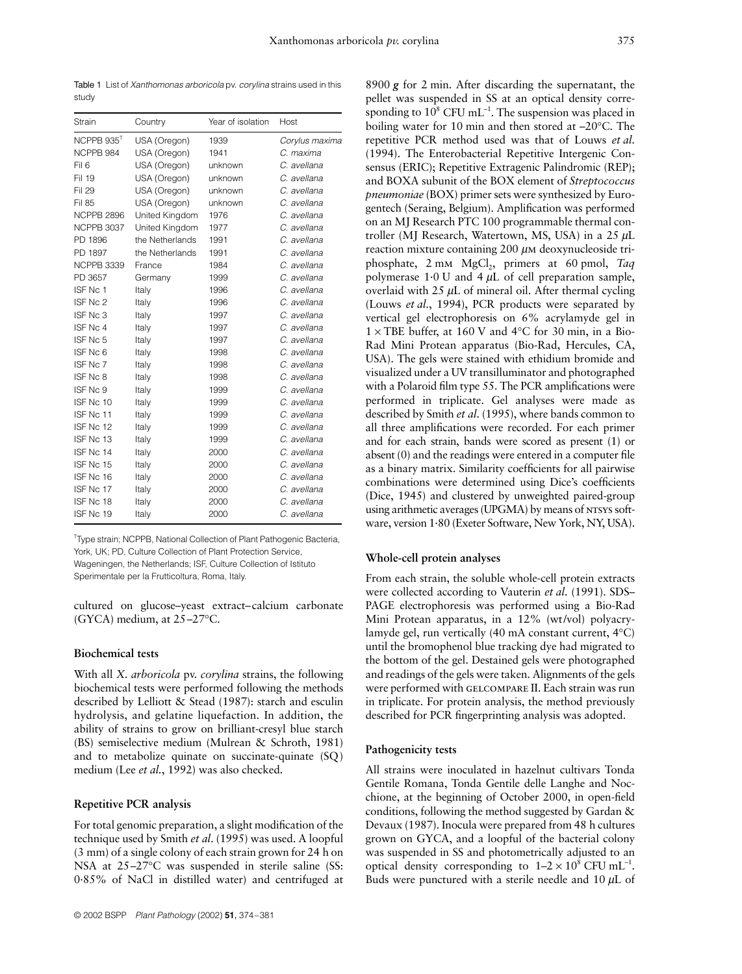Table 1 List of *Xanthomonas arboricola* pv. *corylina* strains used in this study

| Strain                 | Country         | Year of isolation      | Host        |  |
|------------------------|-----------------|------------------------|-------------|--|
| NCPPB 935 <sup>T</sup> | USA (Oregon)    | 1939<br>Corylus maxima |             |  |
| NCPPB 984              | USA (Oregon)    | 1941                   | C. maxima   |  |
| Fil <sub>6</sub>       | USA (Oregon)    | unknown                | C. avellana |  |
| Fil 19                 | USA (Oregon)    | unknown                | C. avellana |  |
| Fil 29                 | USA (Oregon)    | unknown                | C. avellana |  |
| Fil 85                 | USA (Oregon)    | unknown                | C. avellana |  |
| <b>NCPPB 2896</b>      | United Kingdom  | 1976                   | C. avellana |  |
| <b>NCPPB 3037</b>      | United Kingdom  | 1977                   | C. avellana |  |
| PD 1896                | the Netherlands | 1991                   | C. avellana |  |
| PD 1897                | the Netherlands | 1991                   | C. avellana |  |
| <b>NCPPB 3339</b>      | France          | 1984                   | C. avellana |  |
| PD 3657                | Germany         | 1999                   | C. avellana |  |
| ISE No. 1              | Italy           | 1996                   | C. avellana |  |
| ISF Nc 2               | Italy           | 1996                   | C. avellana |  |
| ISE No 3               | Italy           | 1997                   | C. avellana |  |
| ISF Nc 4               | Italy           | 1997                   | C. avellana |  |
| ISF Nc 5               | Italy           | 1997                   | C. avellana |  |
| ISE No 6               | Italy           | 1998                   | C. avellana |  |
| ISF Nc 7               | Italy           | 1998                   | C. avellana |  |
| ISF Nc 8               | Italy           | 1998                   | C. avellana |  |
| ISE No 9               | Italy           | 1999                   | C. avellana |  |
| ISF Nc 10              | Italy           | 1999                   | C. avellana |  |
| ISE No. 11             | Italy           | 1999                   | C. avellana |  |
| ISE No. 12             | Italy           | 1999                   | C. avellana |  |
| ISF Nc 13              | Italy           | 1999                   | C. avellana |  |
| ISF No. 14             | Italy           | 2000                   | C. avellana |  |
| ISF Nc 15              | Italy           | 2000                   | C. avellana |  |
| ISF Nc 16              | Italy           | 2000                   | C. avellana |  |
| ISF Nc 17              | Italy           | 2000                   | C. avellana |  |
| ISE No. 18             | Italy           | 2000                   | C. avellana |  |
| ISF Nc 19              | Italy           | 2000                   | C. avellana |  |

<sup>T</sup>Type strain; NCPPB, National Collection of Plant Pathogenic Bacteria, York, UK; PD, Culture Collection of Plant Protection Service, Wageningen, the Netherlands; ISF, Culture Collection of Istituto Sperimentale per la Frutticoltura, Roma, Italy.

cultured on glucose–yeast extract–calcium carbonate (GYCA) medium, at 25–27°C.

## **Biochemical tests**

With all *X. arboricola* pv. *corylina* strains, the following biochemical tests were performed following the methods described by Lelliott & Stead (1987): starch and esculin hydrolysis, and gelatine liquefaction. In addition, the ability of strains to grow on brilliant-cresyl blue starch (BS) semiselective medium (Mulrean & Schroth, 1981) and to metabolize quinate on succinate-quinate (SQ) medium (Lee *et al.*, 1992) was also checked.

## **Repetitive PCR analysis**

For total genomic preparation, a slight modification of the technique used by Smith *et al*. (1995) was used. A loopful (3 mm) of a single colony of each strain grown for 24 h on NSA at 25–27°C was suspended in sterile saline (SS: 0·85% of NaCl in distilled water) and centrifuged at

8900 *g* for 2 min. After discarding the supernatant, the pellet was suspended in SS at an optical density corresponding to  $10^8$  CFU mL<sup>-1</sup>. The suspension was placed in boiling water for 10 min and then stored at –20°C. The repetitive PCR method used was that of Louws *et al*. (1994). The Enterobacterial Repetitive Intergenic Consensus (ERIC); Repetitive Extragenic Palindromic (REP); and BOXA subunit of the BOX element of *Streptococcus pneumoniae* (BOX) primer sets were synthesized by Eurogentech (Seraing, Belgium). Amplification was performed on an MJ Research PTC 100 programmable thermal controller (MJ Research, Watertown, MS, USA) in a  $25 \mu L$ reaction mixture containing 200 µm deoxynucleoside triphosphate, 2 mm MgCl<sub>2</sub>, primers at 60 pmol, *Taq* polymerase  $1.0$  U and  $4 \mu L$  of cell preparation sample, overlaid with  $25 \mu L$  of mineral oil. After thermal cycling (Louws *et al.*, 1994), PCR products were separated by vertical gel electrophoresis on 6% acrylamyde gel in  $1 \times$  TBE buffer, at 160 V and 4°C for 30 min, in a Bio-Rad Mini Protean apparatus (Bio-Rad, Hercules, CA, USA). The gels were stained with ethidium bromide and visualized under a UV transilluminator and photographed with a Polaroid film type 55. The PCR amplifications were performed in triplicate. Gel analyses were made as described by Smith *et al*. (1995), where bands common to all three amplifications were recorded. For each primer and for each strain, bands were scored as present (1) or absent (0) and the readings were entered in a computer file as a binary matrix. Similarity coefficients for all pairwise combinations were determined using Dice's coefficients (Dice, 1945) and clustered by unweighted paired-group using arithmetic averages (UPGMA) by means of NTSYS software, version 1·80 (Exeter Software, New York, NY, USA).

## **Whole-cell protein analyses**

From each strain, the soluble whole-cell protein extracts were collected according to Vauterin *et al*. (1991). SDS– PAGE electrophoresis was performed using a Bio-Rad Mini Protean apparatus, in a 12% (wt/vol) polyacrylamyde gel, run vertically (40 mA constant current, 4°C) until the bromophenol blue tracking dye had migrated to the bottom of the gel. Destained gels were photographed and readings of the gels were taken. Alignments of the gels were performed with gelcompare II. Each strain was run in triplicate. For protein analysis, the method previously described for PCR fingerprinting analysis was adopted.

## **Pathogenicity tests**

All strains were inoculated in hazelnut cultivars Tonda Gentile Romana, Tonda Gentile delle Langhe and Nocchione, at the beginning of October 2000, in open-field conditions, following the method suggested by Gardan & Devaux (1987). Inocula were prepared from 48 h cultures grown on GYCA, and a loopful of the bacterial colony was suspended in SS and photometrically adjusted to an optical density corresponding to  $1-2 \times 10^8$  CFU mL<sup>-1</sup>. Buds were punctured with a sterile needle and  $10 \mu L$  of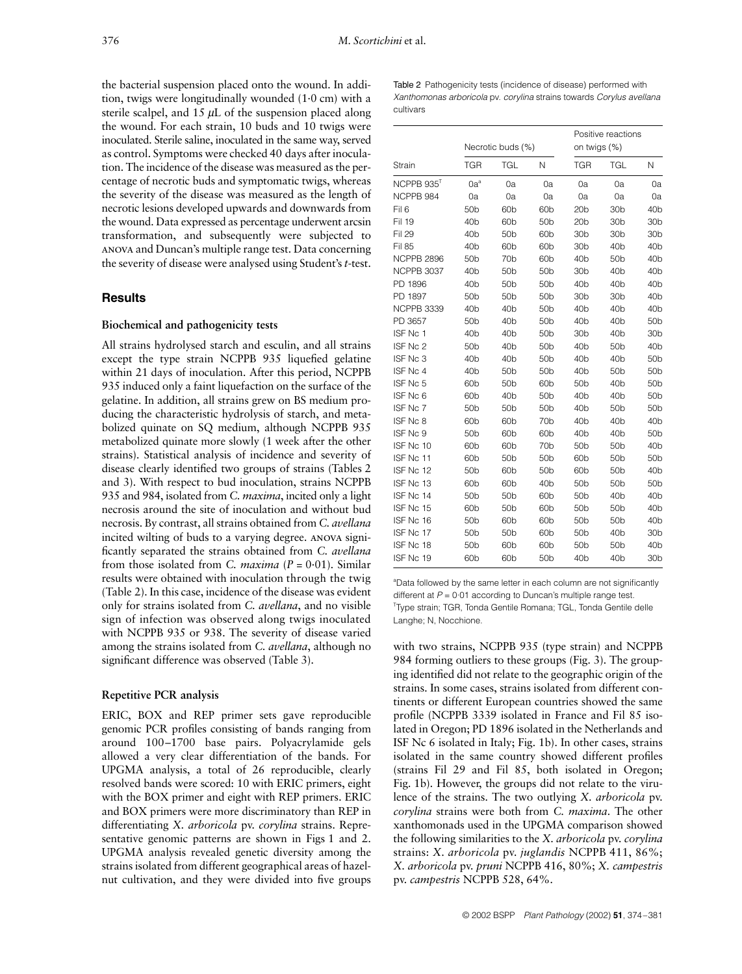the bacterial suspension placed onto the wound. In addition, twigs were longitudinally wounded (1·0 cm) with a sterile scalpel, and  $15 \mu L$  of the suspension placed along the wound. For each strain, 10 buds and 10 twigs were inoculated. Sterile saline, inoculated in the same way, served as control. Symptoms were checked 40 days after inoculation. The incidence of the disease was measured as the percentage of necrotic buds and symptomatic twigs, whereas the severity of the disease was measured as the length of necrotic lesions developed upwards and downwards from the wound. Data expressed as percentage underwent arcsin transformation, and subsequently were subjected to anova and Duncan's multiple range test. Data concerning the severity of disease were analysed using Student's *t*-test.

# **Results**

#### **Biochemical and pathogenicity tests**

All strains hydrolysed starch and esculin, and all strains except the type strain NCPPB 935 liquefied gelatine within 21 days of inoculation. After this period, NCPPB 935 induced only a faint liquefaction on the surface of the gelatine. In addition, all strains grew on BS medium producing the characteristic hydrolysis of starch, and metabolized quinate on SQ medium, although NCPPB 935 metabolized quinate more slowly (1 week after the other strains). Statistical analysis of incidence and severity of disease clearly identified two groups of strains (Tables 2 and 3). With respect to bud inoculation, strains NCPPB 935 and 984, isolated from *C. maxima*, incited only a light necrosis around the site of inoculation and without bud necrosis. By contrast, all strains obtained from *C. avellana* incited wilting of buds to a varying degree. anova significantly separated the strains obtained from *C. avellana* from those isolated from *C. maxima* (*P* = 0·01). Similar results were obtained with inoculation through the twig (Table 2). In this case, incidence of the disease was evident only for strains isolated from *C. avellana*, and no visible sign of infection was observed along twigs inoculated with NCPPB 935 or 938. The severity of disease varied among the strains isolated from *C. avellana*, although no significant difference was observed (Table 3).

#### **Repetitive PCR analysis**

ERIC, BOX and REP primer sets gave reproducible genomic PCR profiles consisting of bands ranging from around 100–1700 base pairs. Polyacrylamide gels allowed a very clear differentiation of the bands. For UPGMA analysis, a total of 26 reproducible, clearly resolved bands were scored: 10 with ERIC primers, eight with the BOX primer and eight with REP primers. ERIC and BOX primers were more discriminatory than REP in differentiating *X. arboricola* pv. *corylina* strains. Representative genomic patterns are shown in Figs 1 and 2. UPGMA analysis revealed genetic diversity among the strains isolated from different geographical areas of hazelnut cultivation, and they were divided into five groups

| Table 2 Pathogenicity tests (incidence of disease) performed with    |
|----------------------------------------------------------------------|
| Xanthomonas arboricola pv. corylina strains towards Corylus avellana |
| cultivars                                                            |

|                        | Necrotic buds (%) |                 |                 | Positive reactions<br>on twigs (%) |                 |                 |
|------------------------|-------------------|-----------------|-----------------|------------------------------------|-----------------|-----------------|
| Strain                 | <b>TGR</b>        | TGL             | N               | <b>TGR</b>                         | TGL             | N               |
| NCPPB 935 <sup>T</sup> | $0a^a$            | 0a              | 0a              | 0a                                 | 0a              | 0a              |
| NCPPB 984              | 0a                | 0a              | 0a              | 0a                                 | 0a              | 0a              |
| Fil <sub>6</sub>       | 50 <sub>b</sub>   | 60 <sub>b</sub> | 60 <sub>b</sub> | 20 <sub>b</sub>                    | 30 <sub>b</sub> | 40 <sub>b</sub> |
| Fil 19                 | 40 <sub>b</sub>   | 60 <sub>b</sub> | 50 <sub>b</sub> | 20 <sub>b</sub>                    | 30b             | 30 <sub>b</sub> |
| Fil 29                 | 40 <sub>b</sub>   | 50 <sub>b</sub> | 60 <sub>b</sub> | 30 <sub>b</sub>                    | 30b             | 30 <sub>b</sub> |
| Fil 85                 | 40 <sub>b</sub>   | 60 <sub>b</sub> | 60 <sub>b</sub> | 30 <sub>b</sub>                    | 40 <sub>b</sub> | 40 <sub>b</sub> |
| NCPPB 2896             | 50 <sub>b</sub>   | 70 <sub>b</sub> | 60 <sub>b</sub> | 40 <sub>b</sub>                    | 50 <sub>b</sub> | 40 <sub>b</sub> |
| <b>NCPPB 3037</b>      | 40 <sub>b</sub>   | 50 <sub>b</sub> | 50 <sub>b</sub> | 30 <sub>b</sub>                    | 40 <sub>b</sub> | 40 <sub>b</sub> |
| PD 1896                | 40 <sub>b</sub>   | 50 <sub>b</sub> | 50 <sub>b</sub> | 40 <sub>b</sub>                    | 40 <sub>b</sub> | 40 <sub>b</sub> |
| PD 1897                | 50 <sub>b</sub>   | 50 <sub>b</sub> | 50 <sub>b</sub> | 30 <sub>b</sub>                    | 30 <sub>b</sub> | 40 <sub>b</sub> |
| NCPPB 3339             | 40 <sub>b</sub>   | 40 <sub>b</sub> | 50 <sub>b</sub> | 40 <sub>b</sub>                    | 40 <sub>b</sub> | 40 <sub>b</sub> |
| PD 3657                | 50 <sub>b</sub>   | 40 <sub>b</sub> | 50 <sub>b</sub> | 40 <sub>b</sub>                    | 40 <sub>b</sub> | 50 <sub>b</sub> |
| ISF Nc 1               | 40 <sub>b</sub>   | 40 <sub>b</sub> | 50b             | 30 <sub>b</sub>                    | 40 <sub>b</sub> | 30 <sub>b</sub> |
| ISF Nc 2               | 50 <sub>b</sub>   | 40 <sub>b</sub> | 50 <sub>b</sub> | 40 <sub>b</sub>                    | 50 <sub>b</sub> | 40 <sub>b</sub> |
| ISF Nc 3               | 40 <sub>b</sub>   | 40 <sub>b</sub> | 50 <sub>b</sub> | 40 <sub>b</sub>                    | 40 <sub>b</sub> | 50 <sub>b</sub> |
| ISF Nc 4               | 40 <sub>b</sub>   | 50 <sub>b</sub> | 50 <sub>b</sub> | 40 <sub>b</sub>                    | 50 <sub>b</sub> | 50 <sub>b</sub> |
| ISF Nc 5               | 60 <sub>b</sub>   | 50 <sub>b</sub> | 60 <sub>b</sub> | 50 <sub>b</sub>                    | 40 <sub>b</sub> | 50 <sub>b</sub> |
| ISF Nc 6               | 60 <sub>b</sub>   | 40 <sub>b</sub> | 50 <sub>b</sub> | 40 <sub>b</sub>                    | 40 <sub>b</sub> | 50 <sub>b</sub> |
| ISF Nc 7               | 50 <sub>b</sub>   | 50 <sub>b</sub> | 50 <sub>b</sub> | 40 <sub>b</sub>                    | 50 <sub>b</sub> | 50 <sub>b</sub> |
| ISF Nc 8               | 60 <sub>b</sub>   | 60 <sub>b</sub> | 70b             | 40 <sub>b</sub>                    | 40 <sub>b</sub> | 40 <sub>b</sub> |
| ISF Nc 9               | 50 <sub>b</sub>   | 60 <sub>b</sub> | 60 <sub>b</sub> | 40 <sub>b</sub>                    | 40 <sub>b</sub> | 50 <sub>b</sub> |
| ISF Nc 10              | 60 <sub>b</sub>   | 60 <sub>b</sub> | 70 <sub>b</sub> | 50 <sub>b</sub>                    | 50 <sub>b</sub> | 40 <sub>b</sub> |
| ISF Nc 11              | 60 <sub>b</sub>   | 50 <sub>b</sub> | 50 <sub>b</sub> | 60 <sub>b</sub>                    | 50 <sub>b</sub> | 50 <sub>b</sub> |
| ISF Nc 12              | 50 <sub>b</sub>   | 60 <sub>b</sub> | 50 <sub>b</sub> | 60 <sub>b</sub>                    | 50 <sub>b</sub> | 40 <sub>b</sub> |
| ISF Nc 13              | 60 <sub>b</sub>   | 60 <sub>b</sub> | 40 <sub>b</sub> | 50 <sub>b</sub>                    | 50 <sub>b</sub> | 50 <sub>b</sub> |
| ISF Nc 14              | 50 <sub>b</sub>   | 50 <sub>b</sub> | 60 <sub>b</sub> | 50 <sub>b</sub>                    | 40 <sub>b</sub> | 40 <sub>b</sub> |
| ISF Nc 15              | 60 <sub>b</sub>   | 50 <sub>b</sub> | 60 <sub>b</sub> | 50 <sub>b</sub>                    | 50 <sub>b</sub> | 40 <sub>b</sub> |
| ISF Nc 16              | 50 <sub>b</sub>   | 60 <sub>b</sub> | 60 <sub>b</sub> | 50 <sub>b</sub>                    | 50 <sub>b</sub> | 40 <sub>b</sub> |
| ISF Nc 17              | 50 <sub>b</sub>   | 50 <sub>b</sub> | 60 <sub>b</sub> | 50 <sub>b</sub>                    | 40 <sub>b</sub> | 30 <sub>b</sub> |
| ISF Nc 18              | 50 <sub>b</sub>   | 60 <sub>b</sub> | 60 <sub>b</sub> | 50 <sub>b</sub>                    | 50b             | 40 <sub>b</sub> |
| ISF Nc 19              | 60 <sub>b</sub>   | 60 <sub>b</sub> | 50 <sub>b</sub> | 40 <sub>b</sub>                    | 40 <sub>b</sub> | 30 <sub>b</sub> |

<sup>a</sup>Data followed by the same letter in each column are not significantly different at *P* = 0·01 according to Duncan's multiple range test. T Type strain; TGR, Tonda Gentile Romana; TGL, Tonda Gentile delle Langhe; N, Nocchione.

with two strains, NCPPB 935 (type strain) and NCPPB 984 forming outliers to these groups (Fig. 3). The grouping identified did not relate to the geographic origin of the strains. In some cases, strains isolated from different continents or different European countries showed the same profile (NCPPB 3339 isolated in France and Fil 85 isolated in Oregon; PD 1896 isolated in the Netherlands and ISF Nc 6 isolated in Italy; Fig. 1b). In other cases, strains isolated in the same country showed different profiles (strains Fil 29 and Fil 85, both isolated in Oregon; Fig. 1b). However, the groups did not relate to the virulence of the strains. The two outlying *X. arboricola* pv. *corylina* strains were both from *C. maxima*. The other xanthomonads used in the UPGMA comparison showed the following similarities to the *X. arboricola* pv. *corylina* strains: *X. arboricola* pv. *juglandis* NCPPB 411, 86%; *X. arboricola* pv. *pruni* NCPPB 416, 80%; *X. campestris* pv. *campestris* NCPPB 528, 64%.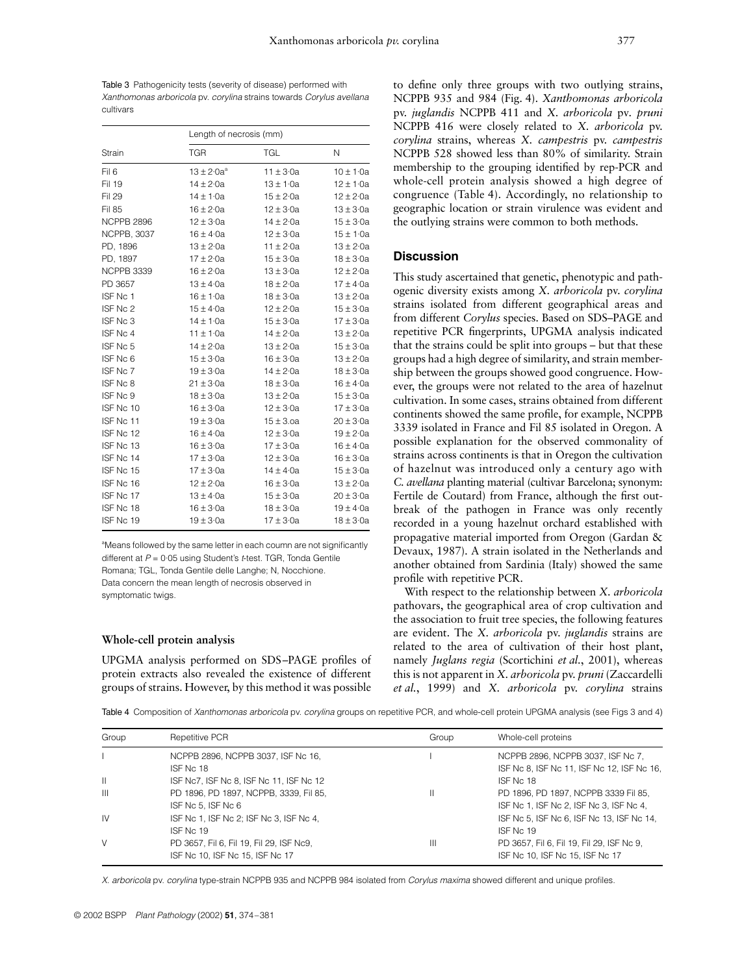Table 3 Pathogenicity tests (severity of disease) performed with *Xanthomonas arboricola* pv. *corylina* strains towards *Corylus avellana* cultivars

|                    | Length of necrosis (mm) |               |               |  |  |
|--------------------|-------------------------|---------------|---------------|--|--|
| Strain             | <b>TGR</b>              | <b>TGL</b>    | N             |  |  |
| Fil <sub>6</sub>   | $13 \pm 2.0a^a$         | $11 \pm 3.0a$ | $10 \pm 1.0a$ |  |  |
| Fil 19             | $14 \pm 2.0a$           | $13 \pm 1.0a$ | $12 \pm 1.0a$ |  |  |
| Fil 29             | $14 \pm 1.0a$           | $15 \pm 2.0a$ | $12 \pm 2.0a$ |  |  |
| <b>Fil 85</b>      | $16 \pm 2.0a$           | $12 \pm 3.0a$ | $13 \pm 3.0a$ |  |  |
| NCPPB 2896         | $12 \pm 3.0a$           | $14 \pm 2.0a$ | $15 \pm 3.0a$ |  |  |
| <b>NCPPB, 3037</b> | $16 \pm 4.0a$           | $12 \pm 3.0a$ | $15 \pm 1.0a$ |  |  |
| PD, 1896           | $13 \pm 2.0a$           | $11 \pm 2.0a$ | $13 \pm 2.0a$ |  |  |
| PD, 1897           | $17 \pm 2.0a$           | $15 \pm 3.0a$ | $18 \pm 3.0a$ |  |  |
| NCPPB 3339         | $16 \pm 2.0a$           | $13 \pm 3.0a$ | $12 \pm 2.0a$ |  |  |
| PD 3657            | $13 \pm 4.0a$           | $18 \pm 2.0a$ | $17 \pm 4.0a$ |  |  |
| ISF Nc 1           | $16 \pm 1.0a$           | $18 \pm 3.0a$ | $13 \pm 2.0a$ |  |  |
| ISF Nc 2           | $15 \pm 4.0a$           | $12 \pm 2.0a$ | $15 \pm 3.0a$ |  |  |
| ISF Nc 3           | $14 \pm 1.0a$           | $15 \pm 3.0a$ | $17 \pm 3.0a$ |  |  |
| ISF Nc 4           | $11 \pm 1.0a$           | $14 \pm 2.0a$ | $13 \pm 2.0a$ |  |  |
| ISF Nc 5           | $14 \pm 2.0a$           | $13 \pm 2.0a$ | $15 \pm 3.0a$ |  |  |
| ISF Nc 6           | $15 \pm 3.0a$           | $16 \pm 3.0a$ | $13 \pm 2.0a$ |  |  |
| ISF Nc 7           | $19 \pm 3.0a$           | $14 \pm 2.0a$ | $18 \pm 3.0a$ |  |  |
| ISF Nc 8           | $21 \pm 3.0a$           | $18 \pm 3.0a$ | $16 \pm 4.0a$ |  |  |
| ISF Nc 9           | $18 \pm 3.0a$           | $13 \pm 2.0a$ | $15 \pm 3.0a$ |  |  |
| ISF Nc 10          | $16 \pm 3.0a$           | $12 \pm 3.0a$ | $17 \pm 3.0a$ |  |  |
| ISF Nc 11          | $19 \pm 3.0a$           | $15 \pm 3.0a$ | $20 \pm 3.0a$ |  |  |
| ISF Nc 12          | $16 \pm 4.0a$           | $12 \pm 3.0a$ | $19 \pm 2.0a$ |  |  |
| ISF Nc 13          | $16 \pm 3.0a$           | $17 \pm 3.0a$ | $16 \pm 4.0a$ |  |  |
| ISF Nc 14          | $17 \pm 3.0a$           | $12 \pm 3.0a$ | $16 \pm 3.0a$ |  |  |
| ISF Nc 15          | $17 \pm 3.0a$           | $14 \pm 4.0a$ | $15 \pm 3.0a$ |  |  |
| ISF Nc 16          | $12 \pm 2.0a$           | $16 \pm 3.0a$ | $13 \pm 2.0a$ |  |  |
| ISF Nc 17          | $13 \pm 4.0a$           | $15 \pm 3.0a$ | $20 \pm 3.0a$ |  |  |
| ISF Nc 18          | $16 \pm 3.0a$           | $18 \pm 3.0a$ | $19 \pm 4.0a$ |  |  |
| ISF Nc 19          | $19 \pm 3.0a$           | $17 \pm 3.0a$ | $18 \pm 3.0a$ |  |  |

<sup>a</sup>Means followed by the same letter in each coumn are not significantly different at *P* = 0·05 using Student's *t*-test. TGR, Tonda Gentile Romana; TGL, Tonda Gentile delle Langhe; N, Nocchione. Data concern the mean length of necrosis observed in symptomatic twigs.

#### **Whole-cell protein analysis**

UPGMA analysis performed on SDS–PAGE profiles of protein extracts also revealed the existence of different groups of strains. However, by this method it was possible

to define only three groups with two outlying strains, NCPPB 935 and 984 (Fig. 4). *Xanthomonas arboricola* pv. *juglandis* NCPPB 411 and *X. arboricola* pv*. pruni* NCPPB 416 were closely related to *X. arboricola* pv. *corylina* strains, whereas *X. campestris* pv. *campestris* NCPPB 528 showed less than 80% of similarity. Strain membership to the grouping identified by rep-PCR and whole-cell protein analysis showed a high degree of congruence (Table 4). Accordingly, no relationship to geographic location or strain virulence was evident and the outlying strains were common to both methods.

#### **Discussion**

This study ascertained that genetic, phenotypic and pathogenic diversity exists among *X. arboricola* pv. *corylina* strains isolated from different geographical areas and from different *Corylus* species. Based on SDS–PAGE and repetitive PCR fingerprints, UPGMA analysis indicated that the strains could be split into groups – but that these groups had a high degree of similarity, and strain membership between the groups showed good congruence. However, the groups were not related to the area of hazelnut cultivation. In some cases, strains obtained from different continents showed the same profile, for example, NCPPB 3339 isolated in France and Fil 85 isolated in Oregon. A possible explanation for the observed commonality of strains across continents is that in Oregon the cultivation of hazelnut was introduced only a century ago with *C. avellana* planting material (cultivar Barcelona; synonym: Fertile de Coutard) from France, although the first outbreak of the pathogen in France was only recently recorded in a young hazelnut orchard established with propagative material imported from Oregon (Gardan & Devaux, 1987). A strain isolated in the Netherlands and another obtained from Sardinia (Italy) showed the same profile with repetitive PCR.

With respect to the relationship between *X. arboricola* pathovars, the geographical area of crop cultivation and the association to fruit tree species, the following features are evident. The *X. arboricola* pv. *juglandis* strains are related to the area of cultivation of their host plant, namely *Juglans regia* (Scortichini *et al.*, 2001), whereas this is not apparent in *X. arboricola* pv. *pruni* (Zaccardelli *et al.*, 1999) and *X. arboricola* pv. *corylina* strains

Table 4 Composition of *Xanthomonas arboricola* pv. *corylina* groups on repetitive PCR, and whole-cell protein UPGMA analysis (see Figs 3 and 4)

| Group          | Repetitive PCR                           | Group | Whole-cell proteins                        |
|----------------|------------------------------------------|-------|--------------------------------------------|
|                | NCPPB 2896, NCPPB 3037, ISF Nc 16,       |       | NCPPB 2896, NCPPB 3037, ISF Nc 7,          |
|                | ISE No. 18                               |       | ISF Nc 8, ISF Nc 11, ISF Nc 12, ISF Nc 16, |
| $\mathbf{  }$  | ISF Nc7, ISF Nc 8, ISF Nc 11, ISF Nc 12  |       | ISE No. 18                                 |
| $\mathbf{III}$ | PD 1896, PD 1897, NCPPB, 3339, Fil 85,   | Н     | PD 1896, PD 1897, NCPPB 3339 Fil 85,       |
|                | ISF Nc 5. ISF Nc 6                       |       | ISF No 1, ISF No 2, ISF No 3, ISF No 4,    |
| <b>IV</b>      | ISF No 1, ISF No 2; ISF No 3, ISF No 4,  |       | ISF No 5, ISF No 6, ISF No 13, ISF No 14,  |
|                | ISE No. 19                               |       | ISE No. 19                                 |
| V              | PD 3657, Fil 6, Fil 19, Fil 29, ISF Nc9, | Ш     | PD 3657, Fil 6, Fil 19, Fil 29, ISF Nc 9,  |
|                | ISF No 10, ISF No 15, ISF No 17          |       | ISF Nc 10, ISF Nc 15, ISF Nc 17            |

*X. arboricola* pv. *corylina* type-strain NCPPB 935 and NCPPB 984 isolated from *Corylus maxima* showed different and unique profiles.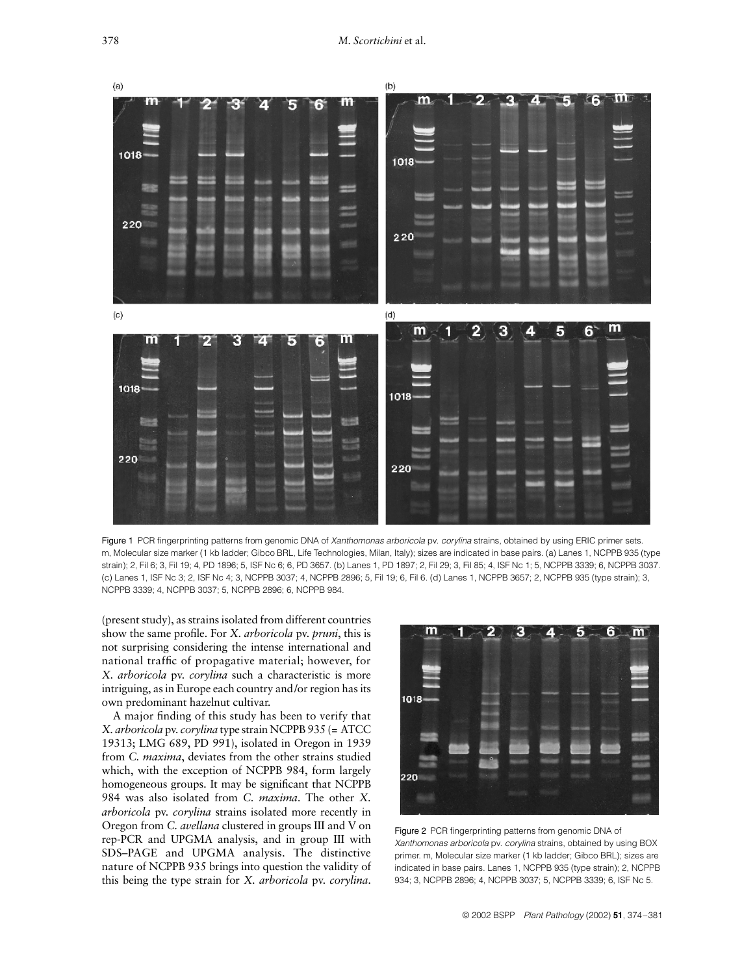

Figure 1 PCR fingerprinting patterns from genomic DNA of *Xanthomonas arboricola* pv. *corylina* strains, obtained by using ERIC primer sets. m, Molecular size marker (1 kb ladder; Gibco BRL, Life Technologies, Milan, Italy); sizes are indicated in base pairs. (a) Lanes 1, NCPPB 935 (type strain); 2, Fil 6; 3, Fil 19; 4, PD 1896; 5, ISF Nc 6; 6, PD 3657. (b) Lanes 1, PD 1897; 2, Fil 29; 3, Fil 85; 4, ISF Nc 1; 5, NCPPB 3339; 6, NCPPB 3037. (c) Lanes 1, ISF Nc 3; 2, ISF Nc 4; 3, NCPPB 3037; 4, NCPPB 2896; 5, Fil 19; 6, Fil 6. (d) Lanes 1, NCPPB 3657; 2, NCPPB 935 (type strain); 3, NCPPB 3339; 4, NCPPB 3037; 5, NCPPB 2896; 6, NCPPB 984.

(present study), as strains isolated from different countries show the same profile. For *X. arboricola* pv. *pruni*, this is not surprising considering the intense international and national traffic of propagative material; however, for *X. arboricola* pv. *corylina* such a characteristic is more intriguing, as in Europe each country and/or region has its own predominant hazelnut cultivar.

A major finding of this study has been to verify that *X. arboricola* pv. *corylina* type strain NCPPB 935 (= ATCC 19313; LMG 689, PD 991), isolated in Oregon in 1939 from *C. maxima*, deviates from the other strains studied which, with the exception of NCPPB 984, form largely homogeneous groups. It may be significant that NCPPB 984 was also isolated from *C. maxima*. The other *X. arboricola* pv. *corylina* strains isolated more recently in Oregon from *C. avellana* clustered in groups III and V on rep-PCR and UPGMA analysis, and in group III with SDS–PAGE and UPGMA analysis. The distinctive nature of NCPPB 935 brings into question the validity of this being the type strain for *X. arboricola* pv. *corylina*.



Figure 2 PCR fingerprinting patterns from genomic DNA of *Xanthomonas arboricola* pv. *corylina* strains, obtained by using BOX primer. m, Molecular size marker (1 kb ladder; Gibco BRL); sizes are indicated in base pairs. Lanes 1, NCPPB 935 (type strain); 2, NCPPB 934; 3, NCPPB 2896; 4, NCPPB 3037; 5, NCPPB 3339; 6, ISF Nc 5.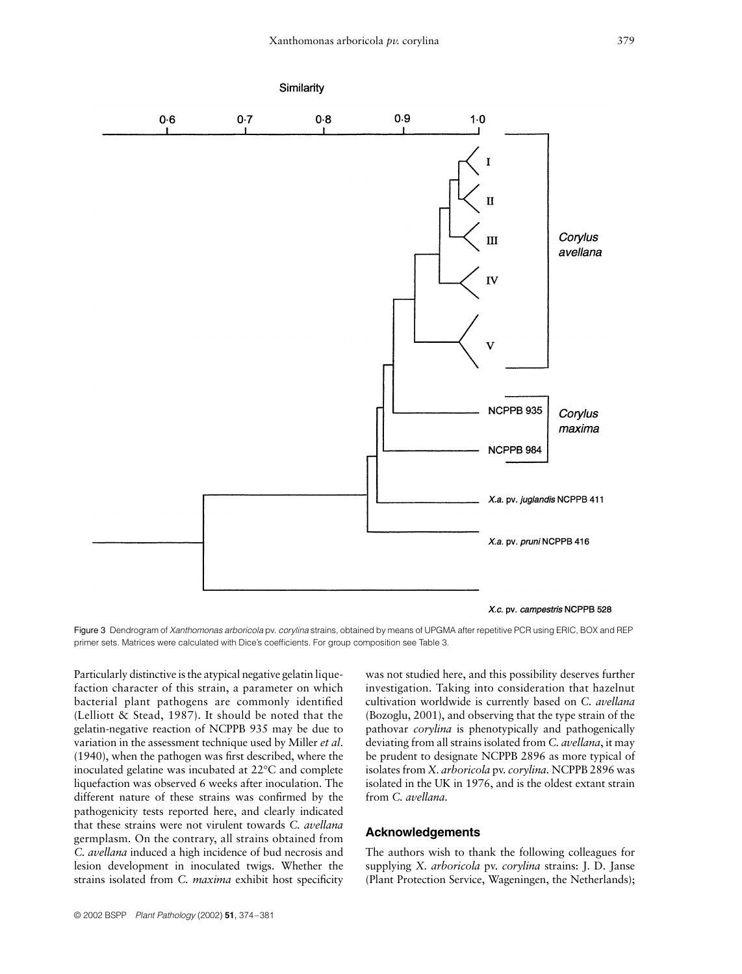

Figure 3 Dendrogram of *Xanthomonas arboricola* pv. *corylina* strains, obtained by means of UPGMA after repetitive PCR using ERIC, BOX and REP primer sets. Matrices were calculated with Dice's coefficients. For group composition see Table 3.

Particularly distinctive is the atypical negative gelatin liquefaction character of this strain, a parameter on which bacterial plant pathogens are commonly identified (Lelliott & Stead, 1987). It should be noted that the gelatin-negative reaction of NCPPB 935 may be due to variation in the assessment technique used by Miller *et al*. (1940), when the pathogen was first described, where the inoculated gelatine was incubated at 22°C and complete liquefaction was observed 6 weeks after inoculation. The different nature of these strains was confirmed by the pathogenicity tests reported here, and clearly indicated that these strains were not virulent towards *C. avellana* germplasm. On the contrary, all strains obtained from *C. avellana* induced a high incidence of bud necrosis and lesion development in inoculated twigs. Whether the strains isolated from *C. maxima* exhibit host specificity

was not studied here, and this possibility deserves further investigation. Taking into consideration that hazelnut cultivation worldwide is currently based on *C. avellana* (Bozoglu, 2001), and observing that the type strain of the pathovar *corylina* is phenotypically and pathogenically deviating from all strains isolated from *C. avellana*, it may be prudent to designate NCPPB 2896 as more typical of isolates from *X. arboricola* pv. *corylina.* NCPPB 2896 was isolated in the UK in 1976, and is the oldest extant strain from *C. avellana.*

## **Acknowledgements**

The authors wish to thank the following colleagues for supplying *X. arboricola* pv. *corylina* strains: J. D. Janse (Plant Protection Service, Wageningen, the Netherlands);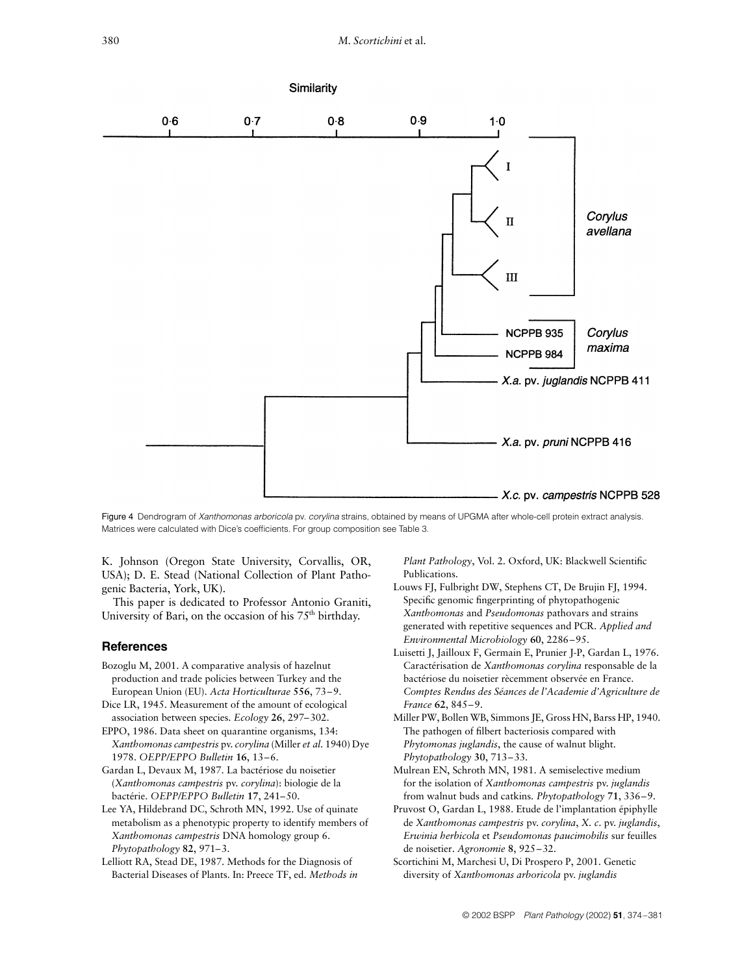

Figure 4 Dendrogram of *Xanthomonas arboricola* pv. *corylina* strains, obtained by means of UPGMA after whole-cell protein extract analysis. Matrices were calculated with Dice's coefficients. For group composition see Table 3.

K. Johnson (Oregon State University, Corvallis, OR, USA); D. E. Stead (National Collection of Plant Pathogenic Bacteria, York, UK).

This paper is dedicated to Professor Antonio Graniti, University of Bari, on the occasion of his  $75<sup>th</sup>$  birthday.

## **References**

- Bozoglu M, 2001. A comparative analysis of hazelnut production and trade policies between Turkey and the European Union (EU). *Acta Horticulturae* **556**, 73–9.
- Dice LR, 1945. Measurement of the amount of ecological association between species. *Ecology* **26**, 297–302.
- EPPO, 1986. Data sheet on quarantine organisms, 134: *Xanthomonas campestris* pv. *corylina* (Miller *et al.* 1940) Dye 1978. *OEPP/EPPO Bulletin* **16**, 13–6.
- Gardan L, Devaux M, 1987. La bactériose du noisetier (*Xanthomonas campestris* pv. *corylina*): biologie de la bactérie. *OEPP/EPPO Bulletin* **17**, 241–50.
- Lee YA, Hildebrand DC, Schroth MN, 1992. Use of quinate metabolism as a phenotypic property to identify members of *Xanthomonas campestris* DNA homology group 6. *Phytopathology* **82**, 971–3.
- Lelliott RA, Stead DE, 1987. Methods for the Diagnosis of Bacterial Diseases of Plants. In: Preece TF, ed. *Methods in*

*Plant Pathology*, Vol. 2. Oxford, UK: Blackwell Scientific Publications.

- Louws FJ, Fulbright DW, Stephens CT, De Brujin FJ, 1994. Specific genomic fingerprinting of phytopathogenic *Xanthomonas* and *Pseudomonas* pathovars and strains generated with repetitive sequences and PCR. *Applied and Environmental Microbiology* **60**, 2286–95.
- Luisetti J, Jailloux F, Germain E, Prunier J-P, Gardan L, 1976. Caractérisation de *Xanthomonas corylina* responsable de la bactériose du noisetier rècemment observée en France. *Comptes Rendus des Séances de l'Academie d'Agriculture de France* **62**, 845–9.
- Miller PW, Bollen WB, Simmons JE, Gross HN, Barss HP, 1940. The pathogen of filbert bacteriosis compared with *Phytomonas juglandis*, the cause of walnut blight*. Phytopathology* **30**, 713–33.
- Mulrean EN, Schroth MN, 1981. A semiselective medium for the isolation of *Xanthomonas campestris* pv. *juglandis* from walnut buds and catkins*. Phytopathology* **71**, 336–9.
- Pruvost O, Gardan L, 1988. Etude de l'implantation épiphylle de *Xanthomonas campestris* pv. *corylina*, *X. c*. pv. *juglandis*, *Erwinia herbicola* et *Pseudomonas paucimobilis* sur feuilles de noisetier. *Agronomie* **8**, 925–32.
- Scortichini M, Marchesi U, Di Prospero P, 2001. Genetic diversity of *Xanthomonas arboricola* pv. *juglandis*